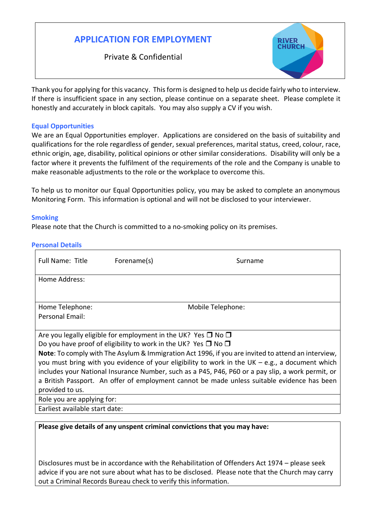# **APPLICATION FOR EMPLOYMENT**

Private & Confidential



Thank you for applying for this vacancy. This form is designed to help us decide fairly who to interview. If there is insufficient space in any section, please continue on a separate sheet. Please complete it honestly and accurately in block capitals. You may also supply a CV if you wish.

### **Equal Opportunities**

We are an Equal Opportunities employer. Applications are considered on the basis of suitability and qualifications for the role regardless of gender, sexual preferences, marital status, creed, colour, race, ethnic origin, age, disability, political opinions or other similar considerations. Disability will only be a factor where it prevents the fulfilment of the requirements of the role and the Company is unable to make reasonable adjustments to the role or the workplace to overcome this.

To help us to monitor our Equal Opportunities policy, you may be asked to complete an anonymous Monitoring Form. This information is optional and will not be disclosed to your interviewer.

### **Smoking**

Please note that the Church is committed to a no-smoking policy on its premises.

### **Personal Details**

| Full Name: Title                                                                                   | Forename(s) | Surname           |  |  |
|----------------------------------------------------------------------------------------------------|-------------|-------------------|--|--|
| Home Address:                                                                                      |             |                   |  |  |
|                                                                                                    |             |                   |  |  |
| Home Telephone:                                                                                    |             | Mobile Telephone: |  |  |
| Personal Email:                                                                                    |             |                   |  |  |
|                                                                                                    |             |                   |  |  |
| Are you legally eligible for employment in the UK? Yes $\Box$ No $\Box$                            |             |                   |  |  |
| Do you have proof of eligibility to work in the UK? Yes $\Box$ No $\Box$                           |             |                   |  |  |
| Note: To comply with The Asylum & Immigration Act 1996, if you are invited to attend an interview, |             |                   |  |  |
| you must bring with you evidence of your eligibility to work in the UK $-$ e.g., a document which  |             |                   |  |  |
| includes your National Insurance Number, such as a P45, P46, P60 or a pay slip, a work permit, or  |             |                   |  |  |
| a British Passport. An offer of employment cannot be made unless suitable evidence has been        |             |                   |  |  |
| provided to us.                                                                                    |             |                   |  |  |
| Role you are applying for:                                                                         |             |                   |  |  |
| Earliest available start date:                                                                     |             |                   |  |  |

**Please give details of any unspent criminal convictions that you may have:**

Disclosures must be in accordance with the Rehabilitation of Offenders Act 1974 – please seek advice if you are not sure about what has to be disclosed. Please note that the Church may carry out a Criminal Records Bureau check to verify this information.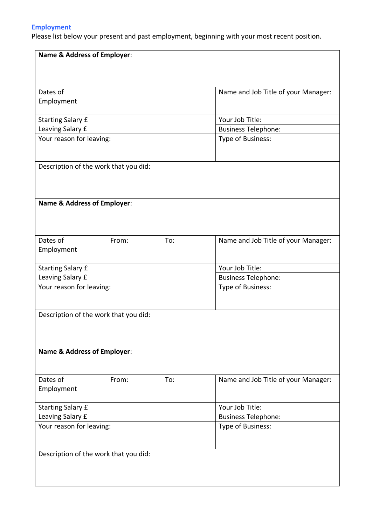## **Employment**

Please list below your present and past employment, beginning with your most recent position.

| <b>Name &amp; Address of Employer:</b> |     |                                     |  |  |
|----------------------------------------|-----|-------------------------------------|--|--|
|                                        |     |                                     |  |  |
|                                        |     |                                     |  |  |
| Dates of                               |     | Name and Job Title of your Manager: |  |  |
| Employment                             |     |                                     |  |  |
|                                        |     |                                     |  |  |
| <b>Starting Salary £</b>               |     | Your Job Title:                     |  |  |
| Leaving Salary £                       |     | <b>Business Telephone:</b>          |  |  |
| Your reason for leaving:               |     | Type of Business:                   |  |  |
|                                        |     |                                     |  |  |
|                                        |     |                                     |  |  |
| Description of the work that you did:  |     |                                     |  |  |
|                                        |     |                                     |  |  |
|                                        |     |                                     |  |  |
|                                        |     |                                     |  |  |
| <b>Name &amp; Address of Employer:</b> |     |                                     |  |  |
|                                        |     |                                     |  |  |
|                                        |     |                                     |  |  |
| Dates of<br>From:                      | To: | Name and Job Title of your Manager: |  |  |
| Employment                             |     |                                     |  |  |
|                                        |     |                                     |  |  |
| <b>Starting Salary £</b>               |     | Your Job Title:                     |  |  |
| Leaving Salary £                       |     | <b>Business Telephone:</b>          |  |  |
| Your reason for leaving:               |     | Type of Business:                   |  |  |
|                                        |     |                                     |  |  |
|                                        |     |                                     |  |  |
| Description of the work that you did:  |     |                                     |  |  |
|                                        |     |                                     |  |  |
|                                        |     |                                     |  |  |
| <b>Name &amp; Address of Employer:</b> |     |                                     |  |  |
|                                        |     |                                     |  |  |
|                                        |     |                                     |  |  |
| Dates of<br>From:                      | To: | Name and Job Title of your Manager: |  |  |
| Employment                             |     |                                     |  |  |
|                                        |     |                                     |  |  |
| <b>Starting Salary £</b>               |     | Your Job Title:                     |  |  |
| Leaving Salary £                       |     | <b>Business Telephone:</b>          |  |  |
| Your reason for leaving:               |     | Type of Business:                   |  |  |
|                                        |     |                                     |  |  |
|                                        |     |                                     |  |  |
| Description of the work that you did:  |     |                                     |  |  |
|                                        |     |                                     |  |  |
|                                        |     |                                     |  |  |
|                                        |     |                                     |  |  |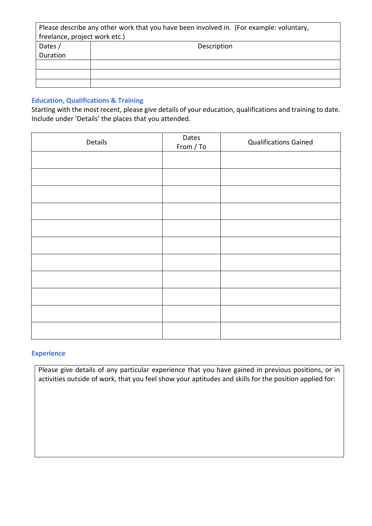| Please describe any other work that you have been involved in. (For example: voluntary, |             |  |  |  |
|-----------------------------------------------------------------------------------------|-------------|--|--|--|
| freelance, project work etc.)                                                           |             |  |  |  |
| Dates /                                                                                 | Description |  |  |  |
| Duration                                                                                |             |  |  |  |
|                                                                                         |             |  |  |  |
|                                                                                         |             |  |  |  |
|                                                                                         |             |  |  |  |

### **Education, Qualifications & Training**

Starting with the most recent, please give details of your education, qualifications and training to date. Include under 'Details' the places that you attended.

| Details | Dates<br>From / To | <b>Qualifications Gained</b> |
|---------|--------------------|------------------------------|
|         |                    |                              |
|         |                    |                              |
|         |                    |                              |
|         |                    |                              |
|         |                    |                              |
|         |                    |                              |
|         |                    |                              |
|         |                    |                              |
|         |                    |                              |
|         |                    |                              |
|         |                    |                              |

### **Experience**

Please give details of any particular experience that you have gained in previous positions, or in activities outside of work, that you feel show your aptitudes and skills for the position applied for: